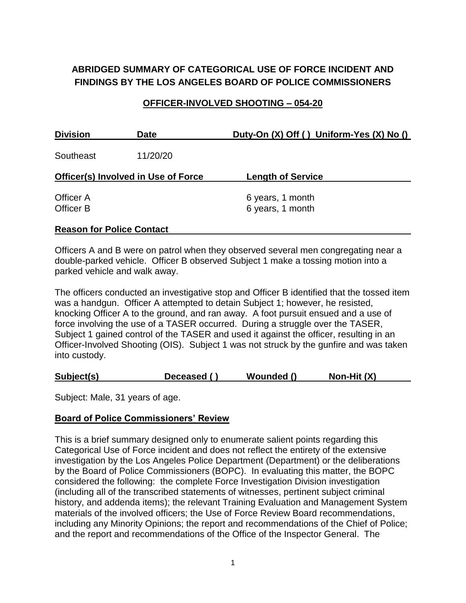## **ABRIDGED SUMMARY OF CATEGORICAL USE OF FORCE INCIDENT AND FINDINGS BY THE LOS ANGELES BOARD OF POLICE COMMISSIONERS**

#### **OFFICER-INVOLVED SHOOTING – 054-20**

| <b>Division</b>                            | <b>Date</b> | Duty-On (X) Off () Uniform-Yes (X) No () |  |  |
|--------------------------------------------|-------------|------------------------------------------|--|--|
| Southeast<br>11/20/20                      |             |                                          |  |  |
| <b>Officer(s) Involved in Use of Force</b> |             | <b>Length of Service</b>                 |  |  |
| Officer A<br>Officer B                     |             | 6 years, 1 month<br>6 years, 1 month     |  |  |

# **Reason for Police Contact**

Officers A and B were on patrol when they observed several men congregating near a double-parked vehicle. Officer B observed Subject 1 make a tossing motion into a parked vehicle and walk away.

The officers conducted an investigative stop and Officer B identified that the tossed item was a handgun. Officer A attempted to detain Subject 1; however, he resisted, knocking Officer A to the ground, and ran away. A foot pursuit ensued and a use of force involving the use of a TASER occurred. During a struggle over the TASER, Subject 1 gained control of the TASER and used it against the officer, resulting in an Officer-Involved Shooting (OIS). Subject 1 was not struck by the gunfire and was taken into custody.

#### **Subject(s) Deceased ( ) Wounded () Non-Hit (X)**

Subject: Male, 31 years of age.

#### **Board of Police Commissioners' Review**

This is a brief summary designed only to enumerate salient points regarding this Categorical Use of Force incident and does not reflect the entirety of the extensive investigation by the Los Angeles Police Department (Department) or the deliberations by the Board of Police Commissioners (BOPC). In evaluating this matter, the BOPC considered the following: the complete Force Investigation Division investigation (including all of the transcribed statements of witnesses, pertinent subject criminal history, and addenda items); the relevant Training Evaluation and Management System materials of the involved officers; the Use of Force Review Board recommendations, including any Minority Opinions; the report and recommendations of the Chief of Police; and the report and recommendations of the Office of the Inspector General. The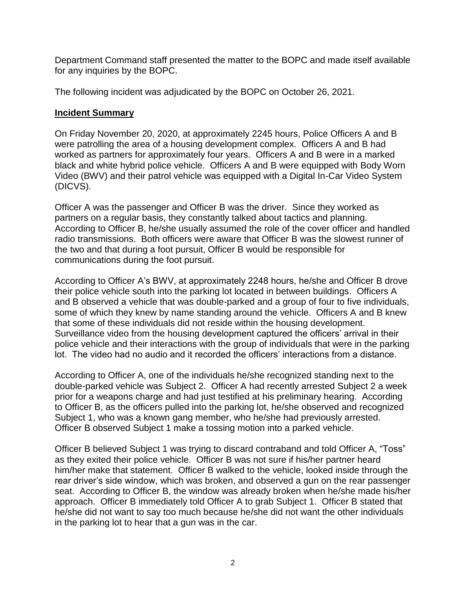Department Command staff presented the matter to the BOPC and made itself available for any inquiries by the BOPC.

The following incident was adjudicated by the BOPC on October 26, 2021.

#### **Incident Summary**

On Friday November 20, 2020, at approximately 2245 hours, Police Officers A and B were patrolling the area of a housing development complex. Officers A and B had worked as partners for approximately four years. Officers A and B were in a marked black and white hybrid police vehicle. Officers A and B were equipped with Body Worn Video (BWV) and their patrol vehicle was equipped with a Digital In-Car Video System (DICVS).

Officer A was the passenger and Officer B was the driver. Since they worked as partners on a regular basis, they constantly talked about tactics and planning. According to Officer B, he/she usually assumed the role of the cover officer and handled radio transmissions. Both officers were aware that Officer B was the slowest runner of the two and that during a foot pursuit, Officer B would be responsible for communications during the foot pursuit.

According to Officer A's BWV, at approximately 2248 hours, he/she and Officer B drove their police vehicle south into the parking lot located in between buildings. Officers A and B observed a vehicle that was double-parked and a group of four to five individuals, some of which they knew by name standing around the vehicle. Officers A and B knew that some of these individuals did not reside within the housing development. Surveillance video from the housing development captured the officers' arrival in their police vehicle and their interactions with the group of individuals that were in the parking lot. The video had no audio and it recorded the officers' interactions from a distance.

According to Officer A, one of the individuals he/she recognized standing next to the double-parked vehicle was Subject 2. Officer A had recently arrested Subject 2 a week prior for a weapons charge and had just testified at his preliminary hearing. According to Officer B, as the officers pulled into the parking lot, he/she observed and recognized Subject 1, who was a known gang member, who he/she had previously arrested. Officer B observed Subject 1 make a tossing motion into a parked vehicle.

Officer B believed Subject 1 was trying to discard contraband and told Officer A, "Toss" as they exited their police vehicle. Officer B was not sure if his/her partner heard him/her make that statement. Officer B walked to the vehicle, looked inside through the rear driver's side window, which was broken, and observed a gun on the rear passenger seat. According to Officer B, the window was already broken when he/she made his/her approach. Officer B immediately told Officer A to grab Subject 1. Officer B stated that he/she did not want to say too much because he/she did not want the other individuals in the parking lot to hear that a gun was in the car.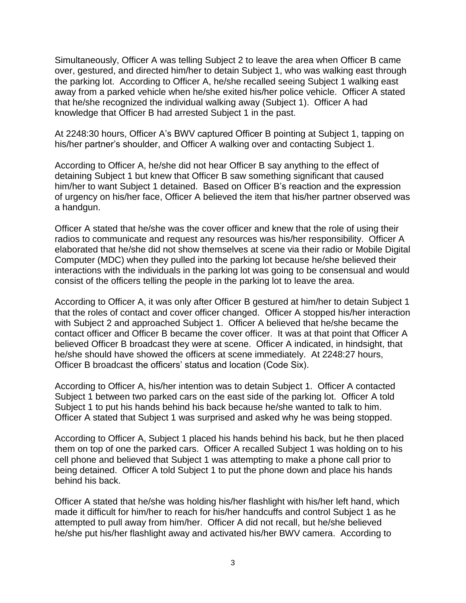Simultaneously, Officer A was telling Subject 2 to leave the area when Officer B came over, gestured, and directed him/her to detain Subject 1, who was walking east through the parking lot. According to Officer A, he/she recalled seeing Subject 1 walking east away from a parked vehicle when he/she exited his/her police vehicle. Officer A stated that he/she recognized the individual walking away (Subject 1). Officer A had knowledge that Officer B had arrested Subject 1 in the past.

At 2248:30 hours, Officer A's BWV captured Officer B pointing at Subject 1, tapping on his/her partner's shoulder, and Officer A walking over and contacting Subject 1.

According to Officer A, he/she did not hear Officer B say anything to the effect of detaining Subject 1 but knew that Officer B saw something significant that caused him/her to want Subject 1 detained. Based on Officer B's reaction and the expression of urgency on his/her face, Officer A believed the item that his/her partner observed was a handgun.

Officer A stated that he/she was the cover officer and knew that the role of using their radios to communicate and request any resources was his/her responsibility. Officer A elaborated that he/she did not show themselves at scene via their radio or Mobile Digital Computer (MDC) when they pulled into the parking lot because he/she believed their interactions with the individuals in the parking lot was going to be consensual and would consist of the officers telling the people in the parking lot to leave the area.

According to Officer A, it was only after Officer B gestured at him/her to detain Subject 1 that the roles of contact and cover officer changed. Officer A stopped his/her interaction with Subject 2 and approached Subject 1. Officer A believed that he/she became the contact officer and Officer B became the cover officer. It was at that point that Officer A believed Officer B broadcast they were at scene. Officer A indicated, in hindsight, that he/she should have showed the officers at scene immediately. At 2248:27 hours, Officer B broadcast the officers' status and location (Code Six).

According to Officer A, his/her intention was to detain Subject 1. Officer A contacted Subject 1 between two parked cars on the east side of the parking lot. Officer A told Subject 1 to put his hands behind his back because he/she wanted to talk to him. Officer A stated that Subject 1 was surprised and asked why he was being stopped.

According to Officer A, Subject 1 placed his hands behind his back, but he then placed them on top of one the parked cars. Officer A recalled Subject 1 was holding on to his cell phone and believed that Subject 1 was attempting to make a phone call prior to being detained. Officer A told Subject 1 to put the phone down and place his hands behind his back.

Officer A stated that he/she was holding his/her flashlight with his/her left hand, which made it difficult for him/her to reach for his/her handcuffs and control Subject 1 as he attempted to pull away from him/her. Officer A did not recall, but he/she believed he/she put his/her flashlight away and activated his/her BWV camera. According to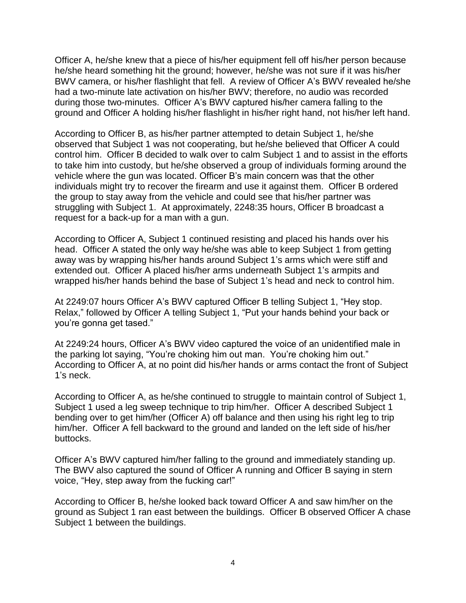Officer A, he/she knew that a piece of his/her equipment fell off his/her person because he/she heard something hit the ground; however, he/she was not sure if it was his/her BWV camera, or his/her flashlight that fell. A review of Officer A's BWV revealed he/she had a two-minute late activation on his/her BWV; therefore, no audio was recorded during those two-minutes. Officer A's BWV captured his/her camera falling to the ground and Officer A holding his/her flashlight in his/her right hand, not his/her left hand.

According to Officer B, as his/her partner attempted to detain Subject 1, he/she observed that Subject 1 was not cooperating, but he/she believed that Officer A could control him. Officer B decided to walk over to calm Subject 1 and to assist in the efforts to take him into custody, but he/she observed a group of individuals forming around the vehicle where the gun was located. Officer B's main concern was that the other individuals might try to recover the firearm and use it against them. Officer B ordered the group to stay away from the vehicle and could see that his/her partner was struggling with Subject 1. At approximately, 2248:35 hours, Officer B broadcast a request for a back-up for a man with a gun.

According to Officer A, Subject 1 continued resisting and placed his hands over his head. Officer A stated the only way he/she was able to keep Subject 1 from getting away was by wrapping his/her hands around Subject 1's arms which were stiff and extended out. Officer A placed his/her arms underneath Subject 1's armpits and wrapped his/her hands behind the base of Subject 1's head and neck to control him.

At 2249:07 hours Officer A's BWV captured Officer B telling Subject 1, "Hey stop. Relax," followed by Officer A telling Subject 1, "Put your hands behind your back or you're gonna get tased."

At 2249:24 hours, Officer A's BWV video captured the voice of an unidentified male in the parking lot saying, "You're choking him out man. You're choking him out." According to Officer A, at no point did his/her hands or arms contact the front of Subject 1's neck.

According to Officer A, as he/she continued to struggle to maintain control of Subject 1, Subject 1 used a leg sweep technique to trip him/her. Officer A described Subject 1 bending over to get him/her (Officer A) off balance and then using his right leg to trip him/her. Officer A fell backward to the ground and landed on the left side of his/her buttocks.

Officer A's BWV captured him/her falling to the ground and immediately standing up. The BWV also captured the sound of Officer A running and Officer B saying in stern voice, "Hey, step away from the fucking car!"

According to Officer B, he/she looked back toward Officer A and saw him/her on the ground as Subject 1 ran east between the buildings. Officer B observed Officer A chase Subject 1 between the buildings.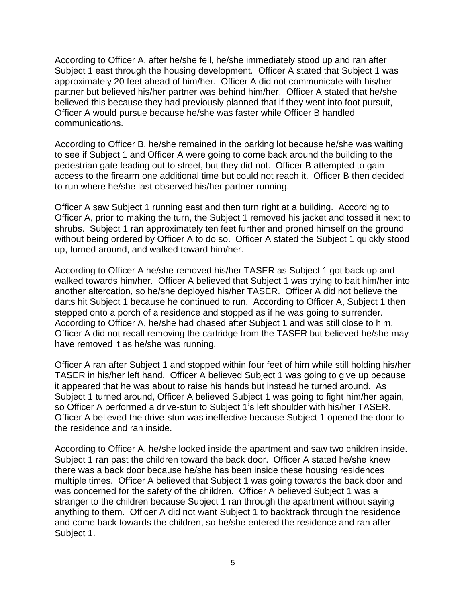According to Officer A, after he/she fell, he/she immediately stood up and ran after Subject 1 east through the housing development. Officer A stated that Subject 1 was approximately 20 feet ahead of him/her. Officer A did not communicate with his/her partner but believed his/her partner was behind him/her. Officer A stated that he/she believed this because they had previously planned that if they went into foot pursuit, Officer A would pursue because he/she was faster while Officer B handled communications.

According to Officer B, he/she remained in the parking lot because he/she was waiting to see if Subject 1 and Officer A were going to come back around the building to the pedestrian gate leading out to street, but they did not. Officer B attempted to gain access to the firearm one additional time but could not reach it. Officer B then decided to run where he/she last observed his/her partner running.

Officer A saw Subject 1 running east and then turn right at a building. According to Officer A, prior to making the turn, the Subject 1 removed his jacket and tossed it next to shrubs. Subject 1 ran approximately ten feet further and proned himself on the ground without being ordered by Officer A to do so. Officer A stated the Subject 1 quickly stood up, turned around, and walked toward him/her.

According to Officer A he/she removed his/her TASER as Subject 1 got back up and walked towards him/her. Officer A believed that Subject 1 was trying to bait him/her into another altercation, so he/she deployed his/her TASER. Officer A did not believe the darts hit Subject 1 because he continued to run. According to Officer A, Subject 1 then stepped onto a porch of a residence and stopped as if he was going to surrender. According to Officer A, he/she had chased after Subject 1 and was still close to him. Officer A did not recall removing the cartridge from the TASER but believed he/she may have removed it as he/she was running.

Officer A ran after Subject 1 and stopped within four feet of him while still holding his/her TASER in his/her left hand. Officer A believed Subject 1 was going to give up because it appeared that he was about to raise his hands but instead he turned around. As Subject 1 turned around, Officer A believed Subject 1 was going to fight him/her again, so Officer A performed a drive-stun to Subject 1's left shoulder with his/her TASER. Officer A believed the drive-stun was ineffective because Subject 1 opened the door to the residence and ran inside.

According to Officer A, he/she looked inside the apartment and saw two children inside. Subject 1 ran past the children toward the back door. Officer A stated he/she knew there was a back door because he/she has been inside these housing residences multiple times. Officer A believed that Subject 1 was going towards the back door and was concerned for the safety of the children. Officer A believed Subject 1 was a stranger to the children because Subject 1 ran through the apartment without saying anything to them. Officer A did not want Subject 1 to backtrack through the residence and come back towards the children, so he/she entered the residence and ran after Subject 1.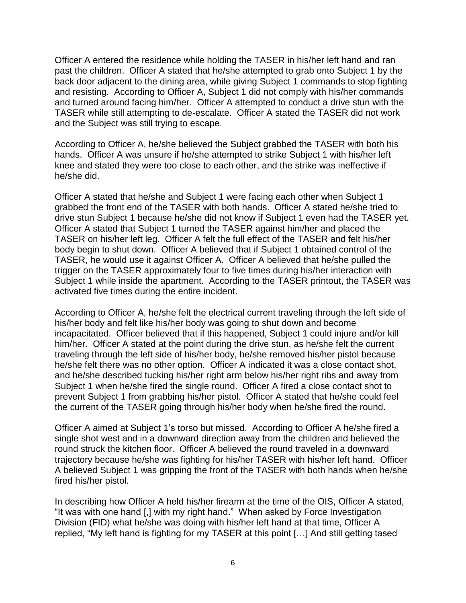Officer A entered the residence while holding the TASER in his/her left hand and ran past the children. Officer A stated that he/she attempted to grab onto Subject 1 by the back door adjacent to the dining area, while giving Subject 1 commands to stop fighting and resisting. According to Officer A, Subject 1 did not comply with his/her commands and turned around facing him/her. Officer A attempted to conduct a drive stun with the TASER while still attempting to de-escalate. Officer A stated the TASER did not work and the Subject was still trying to escape.

According to Officer A, he/she believed the Subject grabbed the TASER with both his hands. Officer A was unsure if he/she attempted to strike Subject 1 with his/her left knee and stated they were too close to each other, and the strike was ineffective if he/she did.

Officer A stated that he/she and Subject 1 were facing each other when Subject 1 grabbed the front end of the TASER with both hands. Officer A stated he/she tried to drive stun Subject 1 because he/she did not know if Subject 1 even had the TASER yet. Officer A stated that Subject 1 turned the TASER against him/her and placed the TASER on his/her left leg. Officer A felt the full effect of the TASER and felt his/her body begin to shut down. Officer A believed that if Subject 1 obtained control of the TASER, he would use it against Officer A. Officer A believed that he/she pulled the trigger on the TASER approximately four to five times during his/her interaction with Subject 1 while inside the apartment. According to the TASER printout, the TASER was activated five times during the entire incident.

According to Officer A, he/she felt the electrical current traveling through the left side of his/her body and felt like his/her body was going to shut down and become incapacitated. Officer believed that if this happened, Subject 1 could injure and/or kill him/her. Officer A stated at the point during the drive stun, as he/she felt the current traveling through the left side of his/her body, he/she removed his/her pistol because he/she felt there was no other option. Officer A indicated it was a close contact shot, and he/she described tucking his/her right arm below his/her right ribs and away from Subject 1 when he/she fired the single round. Officer A fired a close contact shot to prevent Subject 1 from grabbing his/her pistol. Officer A stated that he/she could feel the current of the TASER going through his/her body when he/she fired the round.

Officer A aimed at Subject 1's torso but missed. According to Officer A he/she fired a single shot west and in a downward direction away from the children and believed the round struck the kitchen floor. Officer A believed the round traveled in a downward trajectory because he/she was fighting for his/her TASER with his/her left hand. Officer A believed Subject 1 was gripping the front of the TASER with both hands when he/she fired his/her pistol.

In describing how Officer A held his/her firearm at the time of the OIS, Officer A stated, "It was with one hand [,] with my right hand." When asked by Force Investigation Division (FID) what he/she was doing with his/her left hand at that time, Officer A replied, "My left hand is fighting for my TASER at this point […] And still getting tased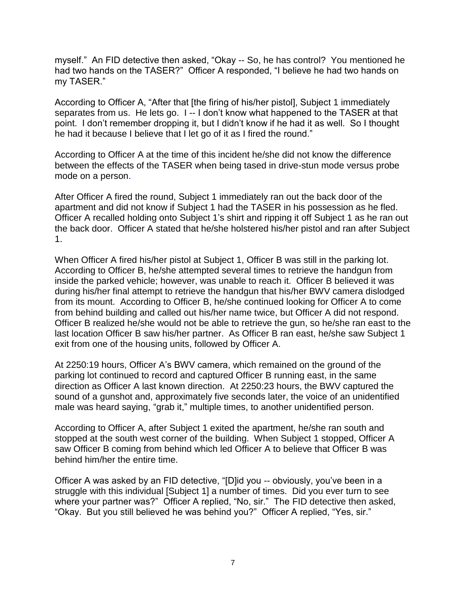myself." An FID detective then asked, "Okay -- So, he has control? You mentioned he had two hands on the TASER?" Officer A responded, "I believe he had two hands on my TASER."

According to Officer A, "After that [the firing of his/her pistol], Subject 1 immediately separates from us. He lets go. I -- I don't know what happened to the TASER at that point. I don't remember dropping it, but I didn't know if he had it as well. So I thought he had it because I believe that I let go of it as I fired the round."

According to Officer A at the time of this incident he/she did not know the difference between the effects of the TASER when being tased in drive-stun mode versus probe mode on a person.

After Officer A fired the round, Subject 1 immediately ran out the back door of the apartment and did not know if Subject 1 had the TASER in his possession as he fled. Officer A recalled holding onto Subject 1's shirt and ripping it off Subject 1 as he ran out the back door. Officer A stated that he/she holstered his/her pistol and ran after Subject 1.

When Officer A fired his/her pistol at Subject 1, Officer B was still in the parking lot. According to Officer B, he/she attempted several times to retrieve the handgun from inside the parked vehicle; however, was unable to reach it. Officer B believed it was during his/her final attempt to retrieve the handgun that his/her BWV camera dislodged from its mount. According to Officer B, he/she continued looking for Officer A to come from behind building and called out his/her name twice, but Officer A did not respond. Officer B realized he/she would not be able to retrieve the gun, so he/she ran east to the last location Officer B saw his/her partner. As Officer B ran east, he/she saw Subject 1 exit from one of the housing units, followed by Officer A.

At 2250:19 hours, Officer A's BWV camera, which remained on the ground of the parking lot continued to record and captured Officer B running east, in the same direction as Officer A last known direction. At 2250:23 hours, the BWV captured the sound of a gunshot and, approximately five seconds later, the voice of an unidentified male was heard saying, "grab it," multiple times, to another unidentified person.

According to Officer A, after Subject 1 exited the apartment, he/she ran south and stopped at the south west corner of the building. When Subject 1 stopped, Officer A saw Officer B coming from behind which led Officer A to believe that Officer B was behind him/her the entire time.

Officer A was asked by an FID detective, "[D]id you -- obviously, you've been in a struggle with this individual [Subject 1] a number of times. Did you ever turn to see where your partner was?" Officer A replied, "No, sir." The FID detective then asked, "Okay. But you still believed he was behind you?" Officer A replied, "Yes, sir."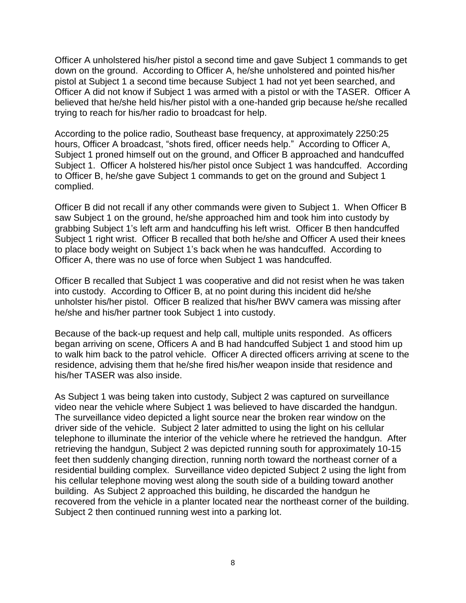Officer A unholstered his/her pistol a second time and gave Subject 1 commands to get down on the ground. According to Officer A, he/she unholstered and pointed his/her pistol at Subject 1 a second time because Subject 1 had not yet been searched, and Officer A did not know if Subject 1 was armed with a pistol or with the TASER. Officer A believed that he/she held his/her pistol with a one-handed grip because he/she recalled trying to reach for his/her radio to broadcast for help.

According to the police radio, Southeast base frequency, at approximately 2250:25 hours, Officer A broadcast, "shots fired, officer needs help." According to Officer A, Subject 1 proned himself out on the ground, and Officer B approached and handcuffed Subject 1. Officer A holstered his/her pistol once Subject 1 was handcuffed. According to Officer B, he/she gave Subject 1 commands to get on the ground and Subject 1 complied.

Officer B did not recall if any other commands were given to Subject 1. When Officer B saw Subject 1 on the ground, he/she approached him and took him into custody by grabbing Subject 1's left arm and handcuffing his left wrist. Officer B then handcuffed Subject 1 right wrist. Officer B recalled that both he/she and Officer A used their knees to place body weight on Subject 1's back when he was handcuffed. According to Officer A, there was no use of force when Subject 1 was handcuffed.

Officer B recalled that Subject 1 was cooperative and did not resist when he was taken into custody. According to Officer B, at no point during this incident did he/she unholster his/her pistol. Officer B realized that his/her BWV camera was missing after he/she and his/her partner took Subject 1 into custody.

Because of the back-up request and help call, multiple units responded. As officers began arriving on scene, Officers A and B had handcuffed Subject 1 and stood him up to walk him back to the patrol vehicle. Officer A directed officers arriving at scene to the residence, advising them that he/she fired his/her weapon inside that residence and his/her TASER was also inside.

As Subject 1 was being taken into custody, Subject 2 was captured on surveillance video near the vehicle where Subject 1 was believed to have discarded the handgun. The surveillance video depicted a light source near the broken rear window on the driver side of the vehicle. Subject 2 later admitted to using the light on his cellular telephone to illuminate the interior of the vehicle where he retrieved the handgun. After retrieving the handgun, Subject 2 was depicted running south for approximately 10-15 feet then suddenly changing direction, running north toward the northeast corner of a residential building complex. Surveillance video depicted Subject 2 using the light from his cellular telephone moving west along the south side of a building toward another building. As Subject 2 approached this building, he discarded the handgun he recovered from the vehicle in a planter located near the northeast corner of the building. Subject 2 then continued running west into a parking lot.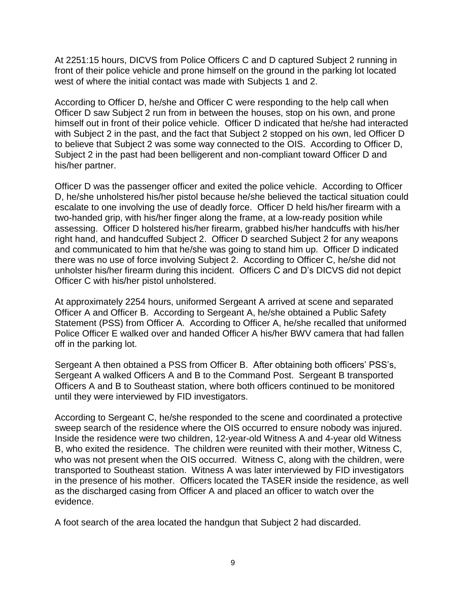At 2251:15 hours, DICVS from Police Officers C and D captured Subject 2 running in front of their police vehicle and prone himself on the ground in the parking lot located west of where the initial contact was made with Subjects 1 and 2.

According to Officer D, he/she and Officer C were responding to the help call when Officer D saw Subject 2 run from in between the houses, stop on his own, and prone himself out in front of their police vehicle. Officer D indicated that he/she had interacted with Subject 2 in the past, and the fact that Subject 2 stopped on his own, led Officer D to believe that Subject 2 was some way connected to the OIS. According to Officer D, Subject 2 in the past had been belligerent and non-compliant toward Officer D and his/her partner.

Officer D was the passenger officer and exited the police vehicle. According to Officer D, he/she unholstered his/her pistol because he/she believed the tactical situation could escalate to one involving the use of deadly force. Officer D held his/her firearm with a two-handed grip, with his/her finger along the frame, at a low-ready position while assessing. Officer D holstered his/her firearm, grabbed his/her handcuffs with his/her right hand, and handcuffed Subject 2. Officer D searched Subject 2 for any weapons and communicated to him that he/she was going to stand him up. Officer D indicated there was no use of force involving Subject 2. According to Officer C, he/she did not unholster his/her firearm during this incident. Officers C and D's DICVS did not depict Officer C with his/her pistol unholstered.

At approximately 2254 hours, uniformed Sergeant A arrived at scene and separated Officer A and Officer B. According to Sergeant A, he/she obtained a Public Safety Statement (PSS) from Officer A. According to Officer A, he/she recalled that uniformed Police Officer E walked over and handed Officer A his/her BWV camera that had fallen off in the parking lot.

Sergeant A then obtained a PSS from Officer B. After obtaining both officers' PSS's, Sergeant A walked Officers A and B to the Command Post. Sergeant B transported Officers A and B to Southeast station, where both officers continued to be monitored until they were interviewed by FID investigators.

According to Sergeant C, he/she responded to the scene and coordinated a protective sweep search of the residence where the OIS occurred to ensure nobody was injured. Inside the residence were two children, 12-year-old Witness A and 4-year old Witness B, who exited the residence. The children were reunited with their mother, Witness C, who was not present when the OIS occurred. Witness C, along with the children, were transported to Southeast station. Witness A was later interviewed by FID investigators in the presence of his mother. Officers located the TASER inside the residence, as well as the discharged casing from Officer A and placed an officer to watch over the evidence.

A foot search of the area located the handgun that Subject 2 had discarded.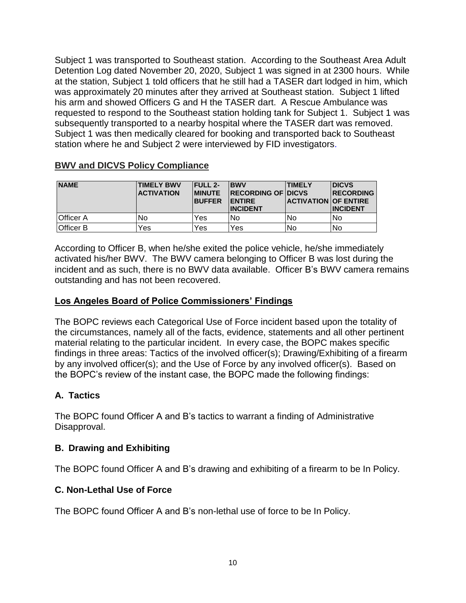Subject 1 was transported to Southeast station. According to the Southeast Area Adult Detention Log dated November 20, 2020, Subject 1 was signed in at 2300 hours. While at the station, Subject 1 told officers that he still had a TASER dart lodged in him, which was approximately 20 minutes after they arrived at Southeast station. Subject 1 lifted his arm and showed Officers G and H the TASER dart. A Rescue Ambulance was requested to respond to the Southeast station holding tank for Subject 1. Subject 1 was subsequently transported to a nearby hospital where the TASER dart was removed. Subject 1 was then medically cleared for booking and transported back to Southeast station where he and Subject 2 were interviewed by FID investigators.

| <b>NAME</b>      | <b>TIMELY BWV</b><br><b>ACTIVATION</b> | <b>IFULL 2-</b><br><b>BUFFER</b> | <b>IBWV</b><br><b>IMINUTE RECORDING OF DICVS</b><br><b>IENTIRE</b><br><b>INCIDENT</b> | <b>TIMELY</b><br><b>ACTIVATION OF ENTIRE</b> | <b>DICVS</b><br><b>IRECORDING</b><br><b>INCIDENT</b> |
|------------------|----------------------------------------|----------------------------------|---------------------------------------------------------------------------------------|----------------------------------------------|------------------------------------------------------|
| <b>Officer A</b> | No                                     | Yes                              | INo                                                                                   | No                                           | 'No                                                  |
| <b>Officer B</b> | Yes                                    | Yes                              | Yes                                                                                   | No                                           | No                                                   |

#### **BWV and DICVS Policy Compliance**

According to Officer B, when he/she exited the police vehicle, he/she immediately activated his/her BWV. The BWV camera belonging to Officer B was lost during the incident and as such, there is no BWV data available. Officer B's BWV camera remains outstanding and has not been recovered.

#### **Los Angeles Board of Police Commissioners' Findings**

The BOPC reviews each Categorical Use of Force incident based upon the [tota](file://///pdf098-1/DATA1/AREA/OIG/Employees By SN/N4678 Kreins/Videos/Video No. 22.wmv)lity of the circumstances, namely all of the facts, evidence, statements and all other pertinent material relating to the particular incident. In every case, the BOPC makes specific findings in three areas: Tactics of the involved officer(s); Drawing/Exhibiting of a firearm by any involved officer(s); and the Use of Force by any involved officer(s). Based on the BOPC's review of the instant case, the BOPC made the following findings:

### **A. Tactics**

The BOPC found Officer A and B's tactics to warrant a finding of Administrative Disapproval.

### **B. Drawing and Exhibiting**

The BOPC found Officer A and B's drawing and exhibiting of a firearm to be In Policy.

### **C. Non-Lethal Use of Force**

The BOPC found Officer A and B's non-lethal use of force to be In Policy.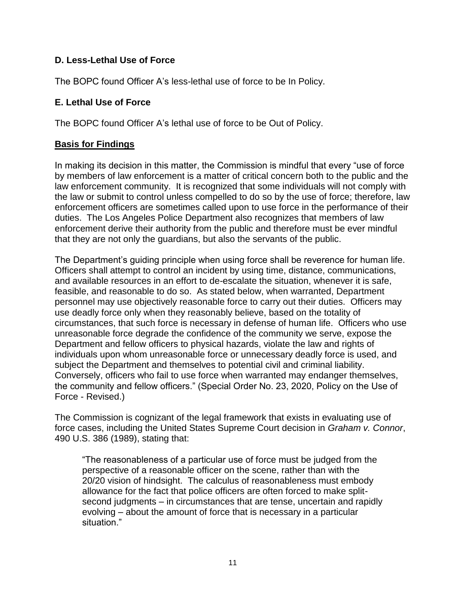### **D. Less-Lethal Use of Force**

The BOPC found Officer A's less-lethal use of force to be In Policy.

### **E. Lethal Use of Force**

The BOPC found Officer A's lethal use of force to be Out of Policy.

### **Basis for Findings**

In making its decision in this matter, the Commission is mindful that every "use of force by members of law enforcement is a matter of critical concern both to the public and the law enforcement community. It is recognized that some individuals will not comply with the law or submit to control unless compelled to do so by the use of force; therefore, law enforcement officers are sometimes called upon to use force in the performance of their duties. The Los Angeles Police Department also recognizes that members of law enforcement derive their authority from the public and therefore must be ever mindful that they are not only the guardians, but also the servants of the public.

The Department's guiding principle when using force shall be reverence for human life. Officers shall attempt to control an incident by using time, distance, communications, and available resources in an effort to de-escalate the situation, whenever it is safe, feasible, and reasonable to do so. As stated below, when warranted, Department personnel may use objectively reasonable force to carry out their duties. Officers may use deadly force only when they reasonably believe, based on the totality of circumstances, that such force is necessary in defense of human life. Officers who use unreasonable force degrade the confidence of the community we serve, expose the Department and fellow officers to physical hazards, violate the law and rights of individuals upon whom unreasonable force or unnecessary deadly force is used, and subject the Department and themselves to potential civil and criminal liability. Conversely, officers who fail to use force when warranted may endanger themselves, the community and fellow officers." (Special Order No. 23, 2020, Policy on the Use of Force - Revised.)

The Commission is cognizant of the legal framework that exists in evaluating use of force cases, including the United States Supreme Court decision in *Graham v. Connor*, 490 U.S. 386 (1989), stating that:

"The reasonableness of a particular use of force must be judged from the perspective of a reasonable officer on the scene, rather than with the 20/20 vision of hindsight. The calculus of reasonableness must embody allowance for the fact that police officers are often forced to make splitsecond judgments – in circumstances that are tense, uncertain and rapidly evolving – about the amount of force that is necessary in a particular situation."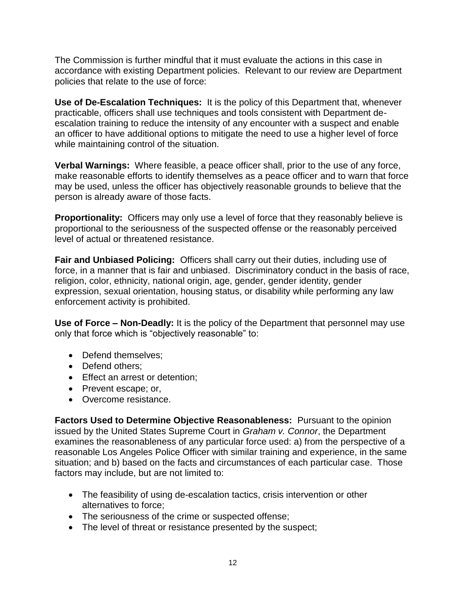The Commission is further mindful that it must evaluate the actions in this case in accordance with existing Department policies. Relevant to our review are Department policies that relate to the use of force:

**Use of De-Escalation Techniques:** It is the policy of this Department that, whenever practicable, officers shall use techniques and tools consistent with Department deescalation training to reduce the intensity of any encounter with a suspect and enable an officer to have additional options to mitigate the need to use a higher level of force while maintaining control of the situation.

**Verbal Warnings:** Where feasible, a peace officer shall, prior to the use of any force, make reasonable efforts to identify themselves as a peace officer and to warn that force may be used, unless the officer has objectively reasonable grounds to believe that the person is already aware of those facts.

**Proportionality:** Officers may only use a level of force that they reasonably believe is proportional to the seriousness of the suspected offense or the reasonably perceived level of actual or threatened resistance.

**Fair and Unbiased Policing:** Officers shall carry out their duties, including use of force, in a manner that is fair and unbiased. Discriminatory conduct in the basis of race, religion, color, ethnicity, national origin, age, gender, gender identity, gender expression, sexual orientation, housing status, or disability while performing any law enforcement activity is prohibited.

**Use of Force – Non-Deadly:** It is the policy of the Department that personnel may use only that force which is "objectively reasonable" to:

- Defend themselves;
- Defend others:
- Effect an arrest or detention;
- Prevent escape; or,
- Overcome resistance.

**Factors Used to Determine Objective Reasonableness:** Pursuant to the opinion issued by the United States Supreme Court in *Graham v. Connor*, the Department examines the reasonableness of any particular force used: a) from the perspective of a reasonable Los Angeles Police Officer with similar training and experience, in the same situation; and b) based on the facts and circumstances of each particular case. Those factors may include, but are not limited to:

- The feasibility of using de-escalation tactics, crisis intervention or other alternatives to force;
- The seriousness of the crime or suspected offense;
- The level of threat or resistance presented by the suspect;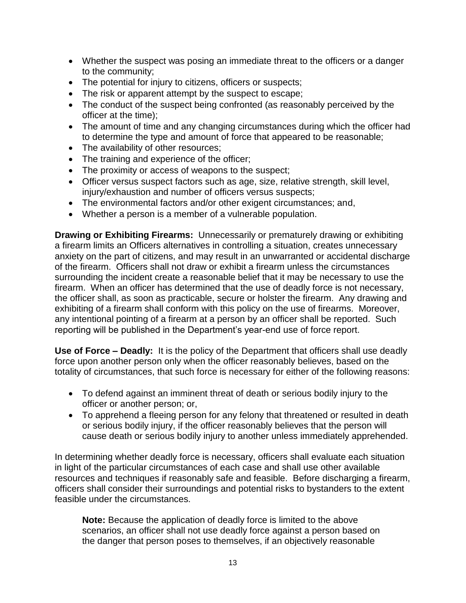- Whether the suspect was posing an immediate threat to the officers or a danger to the community;
- The potential for injury to citizens, officers or suspects;
- The risk or apparent attempt by the suspect to escape;
- The conduct of the suspect being confronted (as reasonably perceived by the officer at the time);
- The amount of time and any changing circumstances during which the officer had to determine the type and amount of force that appeared to be reasonable;
- The availability of other resources;
- The training and experience of the officer;
- The proximity or access of weapons to the suspect;
- Officer versus suspect factors such as age, size, relative strength, skill level, injury/exhaustion and number of officers versus suspects;
- The environmental factors and/or other exigent circumstances; and,
- Whether a person is a member of a vulnerable population.

**Drawing or Exhibiting Firearms:** Unnecessarily or prematurely drawing or exhibiting a firearm limits an Officers alternatives in controlling a situation, creates unnecessary anxiety on the part of citizens, and may result in an unwarranted or accidental discharge of the firearm. Officers shall not draw or exhibit a firearm unless the circumstances surrounding the incident create a reasonable belief that it may be necessary to use the firearm. When an officer has determined that the use of deadly force is not necessary, the officer shall, as soon as practicable, secure or holster the firearm. Any drawing and exhibiting of a firearm shall conform with this policy on the use of firearms. Moreover, any intentional pointing of a firearm at a person by an officer shall be reported. Such reporting will be published in the Department's year-end use of force report.

**Use of Force – Deadly:** It is the policy of the Department that officers shall use deadly force upon another person only when the officer reasonably believes, based on the totality of circumstances, that such force is necessary for either of the following reasons:

- To defend against an imminent threat of death or serious bodily injury to the officer or another person; or,
- To apprehend a fleeing person for any felony that threatened or resulted in death or serious bodily injury, if the officer reasonably believes that the person will cause death or serious bodily injury to another unless immediately apprehended.

In determining whether deadly force is necessary, officers shall evaluate each situation in light of the particular circumstances of each case and shall use other available resources and techniques if reasonably safe and feasible. Before discharging a firearm, officers shall consider their surroundings and potential risks to bystanders to the extent feasible under the circumstances.

**Note:** Because the application of deadly force is limited to the above scenarios, an officer shall not use deadly force against a person based on the danger that person poses to themselves, if an objectively reasonable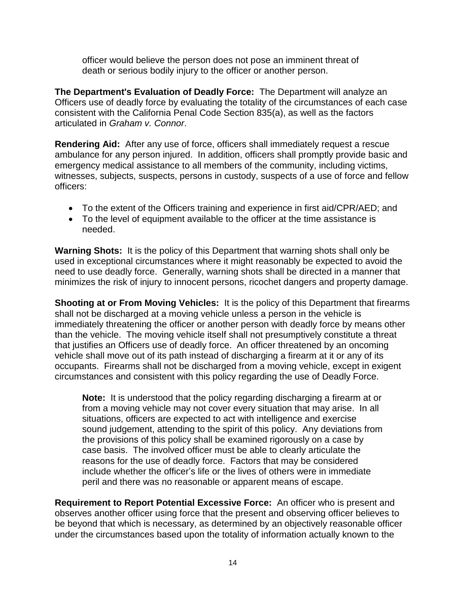officer would believe the person does not pose an imminent threat of death or serious bodily injury to the officer or another person.

**The Department's Evaluation of Deadly Force:** The Department will analyze an Officers use of deadly force by evaluating the totality of the circumstances of each case consistent with the California Penal Code Section 835(a), as well as the factors articulated in *Graham v. Connor*.

**Rendering Aid:** After any use of force, officers shall immediately request a rescue ambulance for any person injured. In addition, officers shall promptly provide basic and emergency medical assistance to all members of the community, including victims, witnesses, subjects, suspects, persons in custody, suspects of a use of force and fellow officers:

- To the extent of the Officers training and experience in first aid/CPR/AED; and
- To the level of equipment available to the officer at the time assistance is needed.

**Warning Shots:** It is the policy of this Department that warning shots shall only be used in exceptional circumstances where it might reasonably be expected to avoid the need to use deadly force. Generally, warning shots shall be directed in a manner that minimizes the risk of injury to innocent persons, ricochet dangers and property damage.

**Shooting at or From Moving Vehicles:** It is the policy of this Department that firearms shall not be discharged at a moving vehicle unless a person in the vehicle is immediately threatening the officer or another person with deadly force by means other than the vehicle. The moving vehicle itself shall not presumptively constitute a threat that justifies an Officers use of deadly force. An officer threatened by an oncoming vehicle shall move out of its path instead of discharging a firearm at it or any of its occupants. Firearms shall not be discharged from a moving vehicle, except in exigent circumstances and consistent with this policy regarding the use of Deadly Force.

**Note:** It is understood that the policy regarding discharging a firearm at or from a moving vehicle may not cover every situation that may arise. In all situations, officers are expected to act with intelligence and exercise sound judgement, attending to the spirit of this policy. Any deviations from the provisions of this policy shall be examined rigorously on a case by case basis. The involved officer must be able to clearly articulate the reasons for the use of deadly force. Factors that may be considered include whether the officer's life or the lives of others were in immediate peril and there was no reasonable or apparent means of escape.

**Requirement to Report Potential Excessive Force:** An officer who is present and observes another officer using force that the present and observing officer believes to be beyond that which is necessary, as determined by an objectively reasonable officer under the circumstances based upon the totality of information actually known to the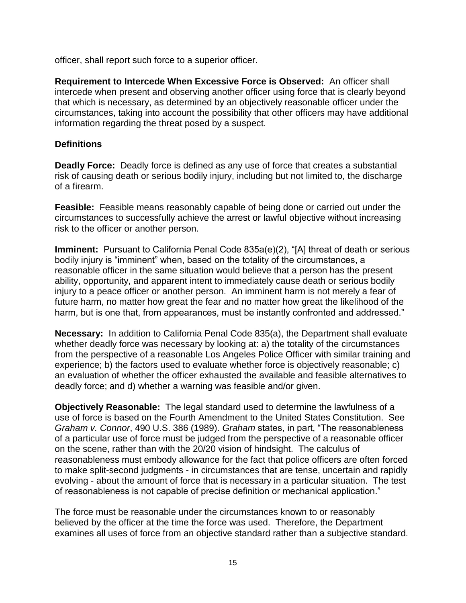officer, shall report such force to a superior officer.

**Requirement to Intercede When Excessive Force is Observed:** An officer shall intercede when present and observing another officer using force that is clearly beyond that which is necessary, as determined by an objectively reasonable officer under the circumstances, taking into account the possibility that other officers may have additional information regarding the threat posed by a suspect.

#### **Definitions**

**Deadly Force:** Deadly force is defined as any use of force that creates a substantial risk of causing death or serious bodily injury, including but not limited to, the discharge of a firearm.

**Feasible:** Feasible means reasonably capable of being done or carried out under the circumstances to successfully achieve the arrest or lawful objective without increasing risk to the officer or another person.

**Imminent:** Pursuant to California Penal Code 835a(e)(2), "[A] threat of death or serious bodily injury is "imminent" when, based on the totality of the circumstances, a reasonable officer in the same situation would believe that a person has the present ability, opportunity, and apparent intent to immediately cause death or serious bodily injury to a peace officer or another person. An imminent harm is not merely a fear of future harm, no matter how great the fear and no matter how great the likelihood of the harm, but is one that, from appearances, must be instantly confronted and addressed."

**Necessary:** In addition to California Penal Code 835(a), the Department shall evaluate whether deadly force was necessary by looking at: a) the totality of the circumstances from the perspective of a reasonable Los Angeles Police Officer with similar training and experience; b) the factors used to evaluate whether force is objectively reasonable; c) an evaluation of whether the officer exhausted the available and feasible alternatives to deadly force; and d) whether a warning was feasible and/or given.

**Objectively Reasonable:** The legal standard used to determine the lawfulness of a use of force is based on the Fourth Amendment to the United States Constitution. See *Graham v. Connor*, 490 U.S. 386 (1989). *Graham* states, in part, "The reasonableness of a particular use of force must be judged from the perspective of a reasonable officer on the scene, rather than with the 20/20 vision of hindsight. The calculus of reasonableness must embody allowance for the fact that police officers are often forced to make split-second judgments - in circumstances that are tense, uncertain and rapidly evolving - about the amount of force that is necessary in a particular situation. The test of reasonableness is not capable of precise definition or mechanical application."

The force must be reasonable under the circumstances known to or reasonably believed by the officer at the time the force was used. Therefore, the Department examines all uses of force from an objective standard rather than a subjective standard.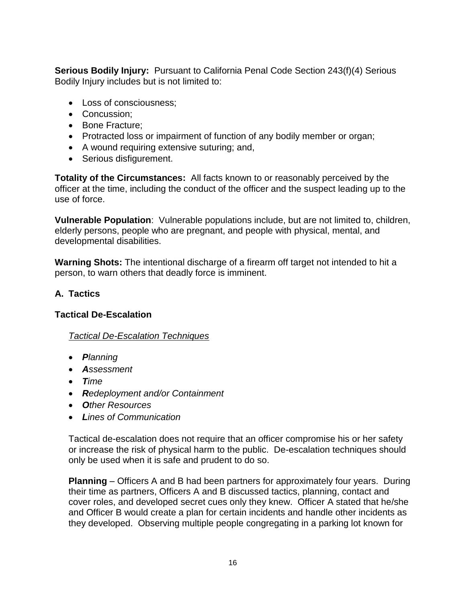**Serious Bodily Injury:** Pursuant to California Penal Code Section 243(f)(4) Serious Bodily Injury includes but is not limited to:

- Loss of consciousness;
- Concussion;
- Bone Fracture;
- Protracted loss or impairment of function of any bodily member or organ;
- A wound requiring extensive suturing; and,
- Serious disfigurement.

**Totality of the Circumstances:** All facts known to or reasonably perceived by the officer at the time, including the conduct of the officer and the suspect leading up to the use of force.

**Vulnerable Population**: Vulnerable populations include, but are not limited to, children, elderly persons, people who are pregnant, and people with physical, mental, and developmental disabilities.

**Warning Shots:** The intentional discharge of a firearm off target not intended to hit a person, to warn others that deadly force is imminent.

### **A. Tactics**

#### **Tactical De-Escalation**

#### *Tactical De-Escalation Techniques*

- *Planning*
- *Assessment*
- *Time*
- *Redeployment and/or Containment*
- *Other Resources*
- *Lines of Communication*

Tactical de-escalation does not require that an officer compromise his or her safety or increase the risk of physical harm to the public. De-escalation techniques should only be used when it is safe and prudent to do so.

**Planning** – Officers A and B had been partners for approximately four years. During their time as partners, Officers A and B discussed tactics, planning, contact and cover roles, and developed secret cues only they knew. Officer A stated that he/she and Officer B would create a plan for certain incidents and handle other incidents as they developed. Observing multiple people congregating in a parking lot known for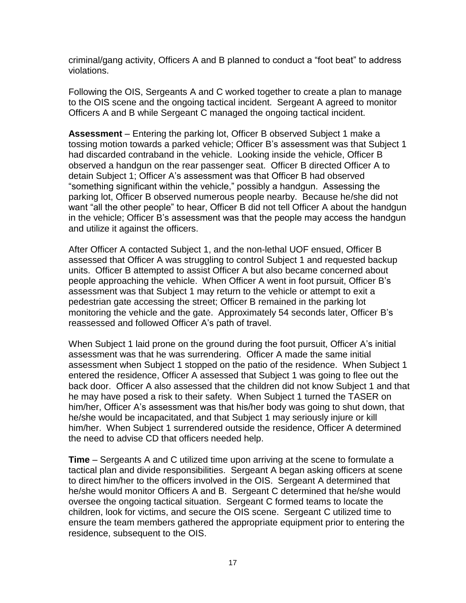criminal/gang activity, Officers A and B planned to conduct a "foot beat" to address violations.

Following the OIS, Sergeants A and C worked together to create a plan to manage to the OIS scene and the ongoing tactical incident. Sergeant A agreed to monitor Officers A and B while Sergeant C managed the ongoing tactical incident.

**Assessment** – Entering the parking lot, Officer B observed Subject 1 make a tossing motion towards a parked vehicle; Officer B's assessment was that Subject 1 had discarded contraband in the vehicle. Looking inside the vehicle, Officer B observed a handgun on the rear passenger seat. Officer B directed Officer A to detain Subject 1; Officer A's assessment was that Officer B had observed "something significant within the vehicle," possibly a handgun. Assessing the parking lot, Officer B observed numerous people nearby. Because he/she did not want "all the other people" to hear, Officer B did not tell Officer A about the handgun in the vehicle; Officer B's assessment was that the people may access the handgun and utilize it against the officers.

After Officer A contacted Subject 1, and the non-lethal UOF ensued, Officer B assessed that Officer A was struggling to control Subject 1 and requested backup units. Officer B attempted to assist Officer A but also became concerned about people approaching the vehicle. When Officer A went in foot pursuit, Officer B's assessment was that Subject 1 may return to the vehicle or attempt to exit a pedestrian gate accessing the street; Officer B remained in the parking lot monitoring the vehicle and the gate. Approximately 54 seconds later, Officer B's reassessed and followed Officer A's path of travel.

When Subject 1 laid prone on the ground during the foot pursuit, Officer A's initial assessment was that he was surrendering. Officer A made the same initial assessment when Subject 1 stopped on the patio of the residence. When Subject 1 entered the residence, Officer A assessed that Subject 1 was going to flee out the back door. Officer A also assessed that the children did not know Subject 1 and that he may have posed a risk to their safety. When Subject 1 turned the TASER on him/her, Officer A's assessment was that his/her body was going to shut down, that he/she would be incapacitated, and that Subject 1 may seriously injure or kill him/her. When Subject 1 surrendered outside the residence, Officer A determined the need to advise CD that officers needed help.

**Time** – Sergeants A and C utilized time upon arriving at the scene to formulate a tactical plan and divide responsibilities. Sergeant A began asking officers at scene to direct him/her to the officers involved in the OIS. Sergeant A determined that he/she would monitor Officers A and B. Sergeant C determined that he/she would oversee the ongoing tactical situation. Sergeant C formed teams to locate the children, look for victims, and secure the OIS scene. Sergeant C utilized time to ensure the team members gathered the appropriate equipment prior to entering the residence, subsequent to the OIS.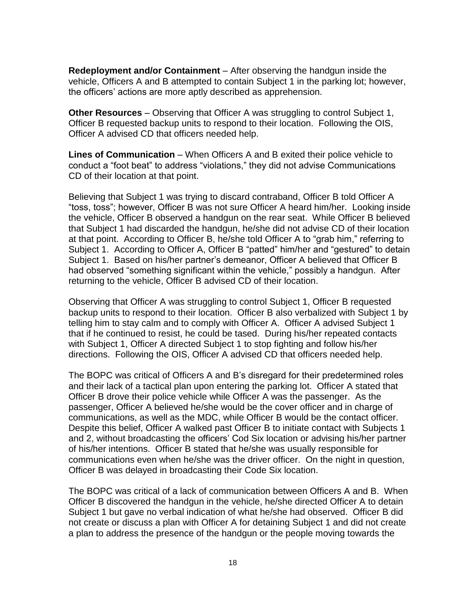**Redeployment and/or Containment** – After observing the handgun inside the vehicle, Officers A and B attempted to contain Subject 1 in the parking lot; however, the officers' actions are more aptly described as apprehension.

**Other Resources** – Observing that Officer A was struggling to control Subject 1, Officer B requested backup units to respond to their location. Following the OIS, Officer A advised CD that officers needed help.

**Lines of Communication** – When Officers A and B exited their police vehicle to conduct a "foot beat" to address "violations," they did not advise Communications CD of their location at that point.

Believing that Subject 1 was trying to discard contraband, Officer B told Officer A "toss, toss"; however, Officer B was not sure Officer A heard him/her. Looking inside the vehicle, Officer B observed a handgun on the rear seat. While Officer B believed that Subject 1 had discarded the handgun, he/she did not advise CD of their location at that point. According to Officer B, he/she told Officer A to "grab him," referring to Subject 1. According to Officer A, Officer B "patted" him/her and "gestured" to detain Subject 1. Based on his/her partner's demeanor, Officer A believed that Officer B had observed "something significant within the vehicle," possibly a handgun. After returning to the vehicle, Officer B advised CD of their location.

Observing that Officer A was struggling to control Subject 1, Officer B requested backup units to respond to their location. Officer B also verbalized with Subject 1 by telling him to stay calm and to comply with Officer A. Officer A advised Subject 1 that if he continued to resist, he could be tased. During his/her repeated contacts with Subject 1, Officer A directed Subject 1 to stop fighting and follow his/her directions. Following the OIS, Officer A advised CD that officers needed help.

The BOPC was critical of Officers A and B's disregard for their predetermined roles and their lack of a tactical plan upon entering the parking lot. Officer A stated that Officer B drove their police vehicle while Officer A was the passenger. As the passenger, Officer A believed he/she would be the cover officer and in charge of communications, as well as the MDC, while Officer B would be the contact officer. Despite this belief, Officer A walked past Officer B to initiate contact with Subjects 1 and 2, without broadcasting the officers' Cod Six location or advising his/her partner of his/her intentions. Officer B stated that he/she was usually responsible for communications even when he/she was the driver officer. On the night in question, Officer B was delayed in broadcasting their Code Six location.

The BOPC was critical of a lack of communication between Officers A and B. When Officer B discovered the handgun in the vehicle, he/she directed Officer A to detain Subject 1 but gave no verbal indication of what he/she had observed. Officer B did not create or discuss a plan with Officer A for detaining Subject 1 and did not create a plan to address the presence of the handgun or the people moving towards the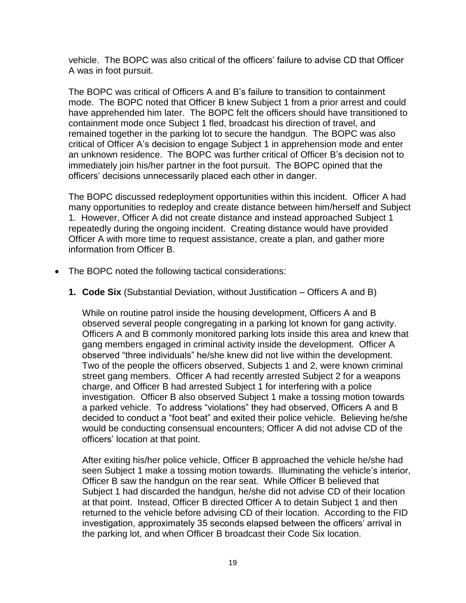vehicle. The BOPC was also critical of the officers' failure to advise CD that Officer A was in foot pursuit.

The BOPC was critical of Officers A and B's failure to transition to containment mode. The BOPC noted that Officer B knew Subject 1 from a prior arrest and could have apprehended him later. The BOPC felt the officers should have transitioned to containment mode once Subject 1 fled, broadcast his direction of travel, and remained together in the parking lot to secure the handgun. The BOPC was also critical of Officer A's decision to engage Subject 1 in apprehension mode and enter an unknown residence. The BOPC was further critical of Officer B's decision not to immediately join his/her partner in the foot pursuit. The BOPC opined that the officers' decisions unnecessarily placed each other in danger.

The BOPC discussed redeployment opportunities within this incident. Officer A had many opportunities to redeploy and create distance between him/herself and Subject 1. However, Officer A did not create distance and instead approached Subject 1 repeatedly during the ongoing incident. Creating distance would have provided Officer A with more time to request assistance, create a plan, and gather more information from Officer B.

- The BOPC noted the following tactical considerations:
	- **1. Code Six** (Substantial Deviation, without Justification Officers A and B)

While on routine patrol inside the housing development, Officers A and B observed several people congregating in a parking lot known for gang activity. Officers A and B commonly monitored parking lots inside this area and knew that gang members engaged in criminal activity inside the development. Officer A observed "three individuals" he/she knew did not live within the development. Two of the people the officers observed, Subjects 1 and 2, were known criminal street gang members. Officer A had recently arrested Subject 2 for a weapons charge, and Officer B had arrested Subject 1 for interfering with a police investigation. Officer B also observed Subject 1 make a tossing motion towards a parked vehicle. To address "violations" they had observed, Officers A and B decided to conduct a "foot beat" and exited their police vehicle. Believing he/she would be conducting consensual encounters; Officer A did not advise CD of the officers' location at that point.

After exiting his/her police vehicle, Officer B approached the vehicle he/she had seen Subject 1 make a tossing motion towards. Illuminating the vehicle's interior, Officer B saw the handgun on the rear seat. While Officer B believed that Subject 1 had discarded the handgun, he/she did not advise CD of their location at that point. Instead, Officer B directed Officer A to detain Subject 1 and then returned to the vehicle before advising CD of their location. According to the FID investigation, approximately 35 seconds elapsed between the officers' arrival in the parking lot, and when Officer B broadcast their Code Six location.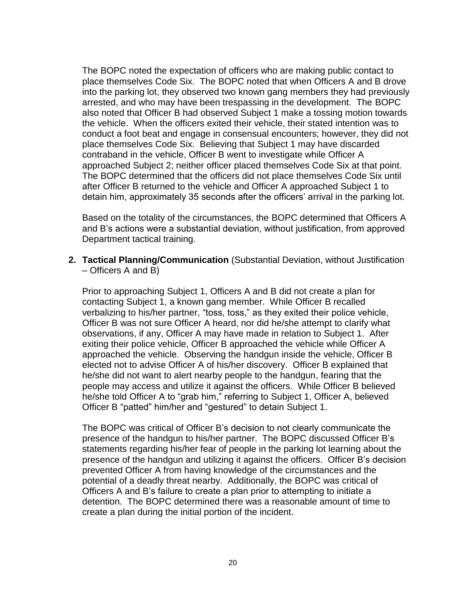The BOPC noted the expectation of officers who are making public contact to place themselves Code Six. The BOPC noted that when Officers A and B drove into the parking lot, they observed two known gang members they had previously arrested, and who may have been trespassing in the development. The BOPC also noted that Officer B had observed Subject 1 make a tossing motion towards the vehicle. When the officers exited their vehicle, their stated intention was to conduct a foot beat and engage in consensual encounters; however, they did not place themselves Code Six. Believing that Subject 1 may have discarded contraband in the vehicle, Officer B went to investigate while Officer A approached Subject 2; neither officer placed themselves Code Six at that point. The BOPC determined that the officers did not place themselves Code Six until after Officer B returned to the vehicle and Officer A approached Subject 1 to detain him, approximately 35 seconds after the officers' arrival in the parking lot.

Based on the totality of the circumstances, the BOPC determined that Officers A and B's actions were a substantial deviation, without justification, from approved Department tactical training.

**2. Tactical Planning/Communication** (Substantial Deviation, without Justification – Officers A and B)

Prior to approaching Subject 1, Officers A and B did not create a plan for contacting Subject 1, a known gang member. While Officer B recalled verbalizing to his/her partner, "toss, toss," as they exited their police vehicle, Officer B was not sure Officer A heard, nor did he/she attempt to clarify what observations, if any, Officer A may have made in relation to Subject 1. After exiting their police vehicle, Officer B approached the vehicle while Officer A approached the vehicle. Observing the handgun inside the vehicle, Officer B elected not to advise Officer A of his/her discovery. Officer B explained that he/she did not want to alert nearby people to the handgun, fearing that the people may access and utilize it against the officers. While Officer B believed he/she told Officer A to "grab him," referring to Subject 1, Officer A, believed Officer B "patted" him/her and "gestured" to detain Subject 1.

The BOPC was critical of Officer B's decision to not clearly communicate the presence of the handgun to his/her partner. The BOPC discussed Officer B's statements regarding his/her fear of people in the parking lot learning about the presence of the handgun and utilizing it against the officers. Officer B's decision prevented Officer A from having knowledge of the circumstances and the potential of a deadly threat nearby. Additionally, the BOPC was critical of Officers A and B's failure to create a plan prior to attempting to initiate a detention. The BOPC determined there was a reasonable amount of time to create a plan during the initial portion of the incident.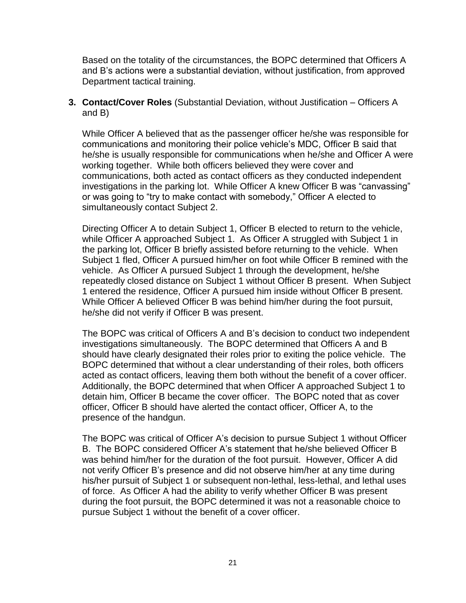Based on the totality of the circumstances, the BOPC determined that Officers A and B's actions were a substantial deviation, without justification, from approved Department tactical training.

**3. Contact/Cover Roles** (Substantial Deviation, without Justification – Officers A and B)

While Officer A believed that as the passenger officer he/she was responsible for communications and monitoring their police vehicle's MDC, Officer B said that he/she is usually responsible for communications when he/she and Officer A were working together. While both officers believed they were cover and communications, both acted as contact officers as they conducted independent investigations in the parking lot. While Officer A knew Officer B was "canvassing" or was going to "try to make contact with somebody," Officer A elected to simultaneously contact Subject 2.

Directing Officer A to detain Subject 1, Officer B elected to return to the vehicle, while Officer A approached Subject 1. As Officer A struggled with Subject 1 in the parking lot, Officer B briefly assisted before returning to the vehicle. When Subject 1 fled, Officer A pursued him/her on foot while Officer B remined with the vehicle. As Officer A pursued Subject 1 through the development, he/she repeatedly closed distance on Subject 1 without Officer B present. When Subject 1 entered the residence, Officer A pursued him inside without Officer B present. While Officer A believed Officer B was behind him/her during the foot pursuit, he/she did not verify if Officer B was present.

The BOPC was critical of Officers A and B's decision to conduct two independent investigations simultaneously. The BOPC determined that Officers A and B should have clearly designated their roles prior to exiting the police vehicle. The BOPC determined that without a clear understanding of their roles, both officers acted as contact officers, leaving them both without the benefit of a cover officer. Additionally, the BOPC determined that when Officer A approached Subject 1 to detain him, Officer B became the cover officer. The BOPC noted that as cover officer, Officer B should have alerted the contact officer, Officer A, to the presence of the handgun.

The BOPC was critical of Officer A's decision to pursue Subject 1 without Officer B. The BOPC considered Officer A's statement that he/she believed Officer B was behind him/her for the duration of the foot pursuit. However, Officer A did not verify Officer B's presence and did not observe him/her at any time during his/her pursuit of Subject 1 or subsequent non-lethal, less-lethal, and lethal uses of force. As Officer A had the ability to verify whether Officer B was present during the foot pursuit, the BOPC determined it was not a reasonable choice to pursue Subject 1 without the benefit of a cover officer.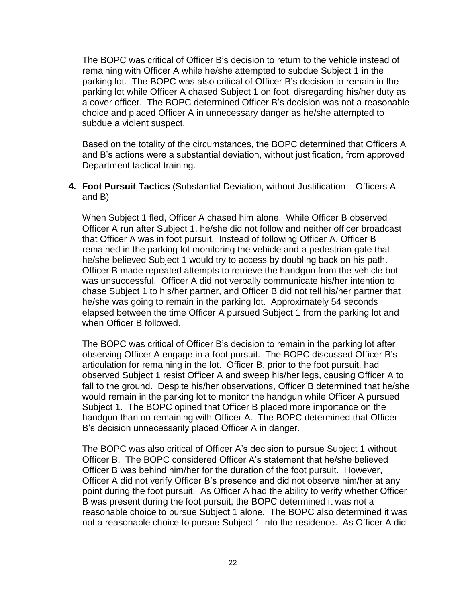The BOPC was critical of Officer B's decision to return to the vehicle instead of remaining with Officer A while he/she attempted to subdue Subject 1 in the parking lot. The BOPC was also critical of Officer B's decision to remain in the parking lot while Officer A chased Subject 1 on foot, disregarding his/her duty as a cover officer. The BOPC determined Officer B's decision was not a reasonable choice and placed Officer A in unnecessary danger as he/she attempted to subdue a violent suspect.

Based on the totality of the circumstances, the BOPC determined that Officers A and B's actions were a substantial deviation, without justification, from approved Department tactical training.

**4. Foot Pursuit Tactics** (Substantial Deviation, without Justification – Officers A and B)

When Subject 1 fled, Officer A chased him alone. While Officer B observed Officer A run after Subject 1, he/she did not follow and neither officer broadcast that Officer A was in foot pursuit. Instead of following Officer A, Officer B remained in the parking lot monitoring the vehicle and a pedestrian gate that he/she believed Subject 1 would try to access by doubling back on his path. Officer B made repeated attempts to retrieve the handgun from the vehicle but was unsuccessful. Officer A did not verbally communicate his/her intention to chase Subject 1 to his/her partner, and Officer B did not tell his/her partner that he/she was going to remain in the parking lot. Approximately 54 seconds elapsed between the time Officer A pursued Subject 1 from the parking lot and when Officer B followed.

The BOPC was critical of Officer B's decision to remain in the parking lot after observing Officer A engage in a foot pursuit. The BOPC discussed Officer B's articulation for remaining in the lot. Officer B, prior to the foot pursuit, had observed Subject 1 resist Officer A and sweep his/her legs, causing Officer A to fall to the ground. Despite his/her observations, Officer B determined that he/she would remain in the parking lot to monitor the handgun while Officer A pursued Subject 1. The BOPC opined that Officer B placed more importance on the handgun than on remaining with Officer A. The BOPC determined that Officer B's decision unnecessarily placed Officer A in danger.

The BOPC was also critical of Officer A's decision to pursue Subject 1 without Officer B. The BOPC considered Officer A's statement that he/she believed Officer B was behind him/her for the duration of the foot pursuit. However, Officer A did not verify Officer B's presence and did not observe him/her at any point during the foot pursuit. As Officer A had the ability to verify whether Officer B was present during the foot pursuit, the BOPC determined it was not a reasonable choice to pursue Subject 1 alone. The BOPC also determined it was not a reasonable choice to pursue Subject 1 into the residence. As Officer A did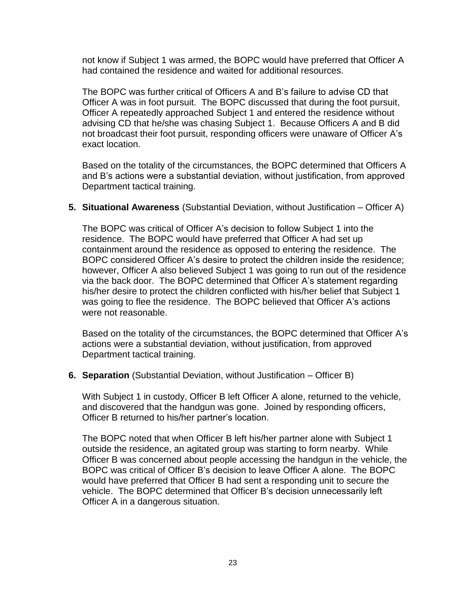not know if Subject 1 was armed, the BOPC would have preferred that Officer A had contained the residence and waited for additional resources.

The BOPC was further critical of Officers A and B's failure to advise CD that Officer A was in foot pursuit. The BOPC discussed that during the foot pursuit, Officer A repeatedly approached Subject 1 and entered the residence without advising CD that he/she was chasing Subject 1. Because Officers A and B did not broadcast their foot pursuit, responding officers were unaware of Officer A's exact location.

Based on the totality of the circumstances, the BOPC determined that Officers A and B's actions were a substantial deviation, without justification, from approved Department tactical training.

**5. Situational Awareness** (Substantial Deviation, without Justification – Officer A)

The BOPC was critical of Officer A's decision to follow Subject 1 into the residence. The BOPC would have preferred that Officer A had set up containment around the residence as opposed to entering the residence. The BOPC considered Officer A's desire to protect the children inside the residence; however, Officer A also believed Subject 1 was going to run out of the residence via the back door. The BOPC determined that Officer A's statement regarding his/her desire to protect the children conflicted with his/her belief that Subject 1 was going to flee the residence. The BOPC believed that Officer A's actions were not reasonable.

Based on the totality of the circumstances, the BOPC determined that Officer A's actions were a substantial deviation, without justification, from approved Department tactical training.

**6. Separation** (Substantial Deviation, without Justification – Officer B)

With Subject 1 in custody, Officer B left Officer A alone, returned to the vehicle, and discovered that the handgun was gone. Joined by responding officers, Officer B returned to his/her partner's location.

The BOPC noted that when Officer B left his/her partner alone with Subject 1 outside the residence, an agitated group was starting to form nearby. While Officer B was concerned about people accessing the handgun in the vehicle, the BOPC was critical of Officer B's decision to leave Officer A alone. The BOPC would have preferred that Officer B had sent a responding unit to secure the vehicle. The BOPC determined that Officer B's decision unnecessarily left Officer A in a dangerous situation.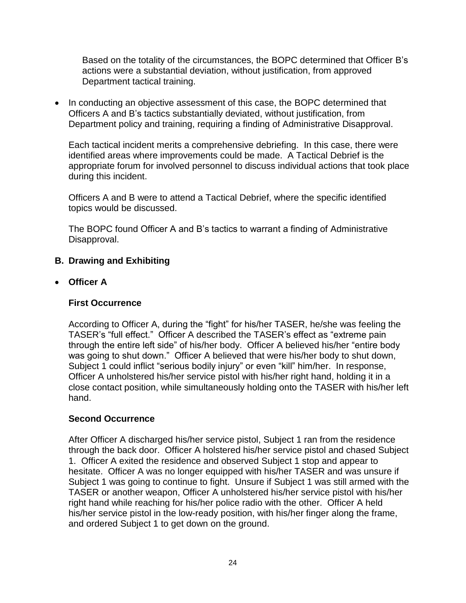Based on the totality of the circumstances, the BOPC determined that Officer B's actions were a substantial deviation, without justification, from approved Department tactical training.

• In conducting an objective assessment of this case, the BOPC determined that Officers A and B's tactics substantially deviated, without justification, from Department policy and training, requiring a finding of Administrative Disapproval.

Each tactical incident merits a comprehensive debriefing. In this case, there were identified areas where improvements could be made. A Tactical Debrief is the appropriate forum for involved personnel to discuss individual actions that took place during this incident.

Officers A and B were to attend a Tactical Debrief, where the specific identified topics would be discussed.

The BOPC found Officer A and B's tactics to warrant a finding of Administrative Disapproval.

### **B. Drawing and Exhibiting**

• **Officer A**

### **First Occurrence**

According to Officer A, during the "fight" for his/her TASER, he/she was feeling the TASER's "full effect." Officer A described the TASER's effect as "extreme pain through the entire left side" of his/her body. Officer A believed his/her "entire body was going to shut down." Officer A believed that were his/her body to shut down, Subject 1 could inflict "serious bodily injury" or even "kill" him/her. In response, Officer A unholstered his/her service pistol with his/her right hand, holding it in a close contact position, while simultaneously holding onto the TASER with his/her left hand.

### **Second Occurrence**

After Officer A discharged his/her service pistol, Subject 1 ran from the residence through the back door. Officer A holstered his/her service pistol and chased Subject 1. Officer A exited the residence and observed Subject 1 stop and appear to hesitate. Officer A was no longer equipped with his/her TASER and was unsure if Subject 1 was going to continue to fight. Unsure if Subject 1 was still armed with the TASER or another weapon, Officer A unholstered his/her service pistol with his/her right hand while reaching for his/her police radio with the other. Officer A held his/her service pistol in the low-ready position, with his/her finger along the frame, and ordered Subject 1 to get down on the ground.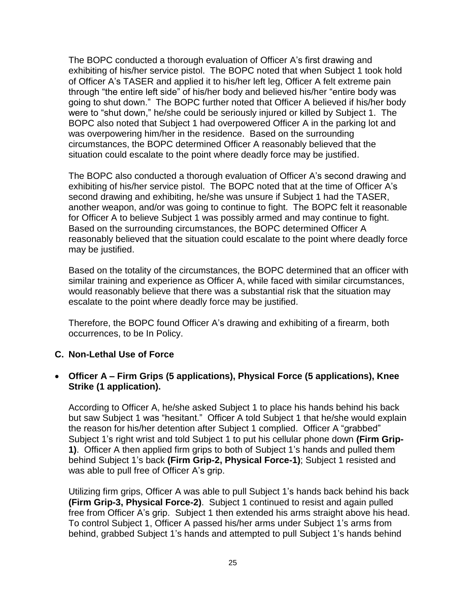The BOPC conducted a thorough evaluation of Officer A's first drawing and exhibiting of his/her service pistol. The BOPC noted that when Subject 1 took hold of Officer A's TASER and applied it to his/her left leg, Officer A felt extreme pain through "the entire left side" of his/her body and believed his/her "entire body was going to shut down." The BOPC further noted that Officer A believed if his/her body were to "shut down," he/she could be seriously injured or killed by Subject 1. The BOPC also noted that Subject 1 had overpowered Officer A in the parking lot and was overpowering him/her in the residence. Based on the surrounding circumstances, the BOPC determined Officer A reasonably believed that the situation could escalate to the point where deadly force may be justified.

The BOPC also conducted a thorough evaluation of Officer A's second drawing and exhibiting of his/her service pistol. The BOPC noted that at the time of Officer A's second drawing and exhibiting, he/she was unsure if Subject 1 had the TASER, another weapon, and/or was going to continue to fight. The BOPC felt it reasonable for Officer A to believe Subject 1 was possibly armed and may continue to fight. Based on the surrounding circumstances, the BOPC determined Officer A reasonably believed that the situation could escalate to the point where deadly force may be justified.

Based on the totality of the circumstances, the BOPC determined that an officer with similar training and experience as Officer A, while faced with similar circumstances, would reasonably believe that there was a substantial risk that the situation may escalate to the point where deadly force may be justified.

Therefore, the BOPC found Officer A's drawing and exhibiting of a firearm, both occurrences, to be In Policy.

#### **C. Non-Lethal Use of Force**

#### • **Officer A – Firm Grips (5 applications), Physical Force (5 applications), Knee Strike (1 application).**

According to Officer A, he/she asked Subject 1 to place his hands behind his back but saw Subject 1 was "hesitant." Officer A told Subject 1 that he/she would explain the reason for his/her detention after Subject 1 complied. Officer A "grabbed" Subject 1's right wrist and told Subject 1 to put his cellular phone down **(Firm Grip-1)**. Officer A then applied firm grips to both of Subject 1's hands and pulled them behind Subject 1's back **(Firm Grip-2, Physical Force-1)**; Subject 1 resisted and was able to pull free of Officer A's grip.

Utilizing firm grips, Officer A was able to pull Subject 1's hands back behind his back **(Firm Grip-3, Physical Force-2)**. Subject 1 continued to resist and again pulled free from Officer A's grip. Subject 1 then extended his arms straight above his head. To control Subject 1, Officer A passed his/her arms under Subject 1's arms from behind, grabbed Subject 1's hands and attempted to pull Subject 1's hands behind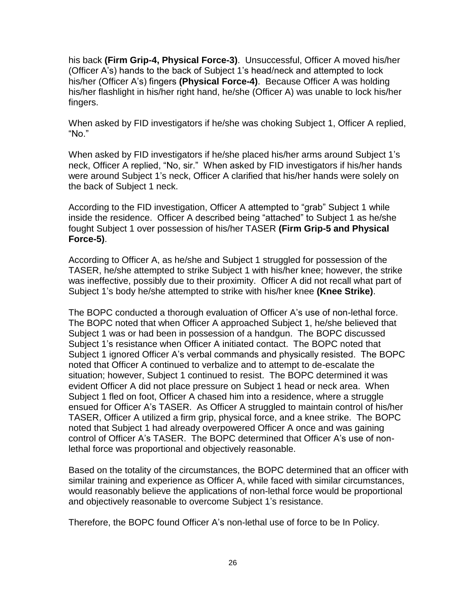his back **(Firm Grip-4, Physical Force-3)**. Unsuccessful, Officer A moved his/her (Officer A's) hands to the back of Subject 1's head/neck and attempted to lock his/her (Officer A's) fingers **(Physical Force-4)**. Because Officer A was holding his/her flashlight in his/her right hand, he/she (Officer A) was unable to lock his/her fingers.

When asked by FID investigators if he/she was choking Subject 1, Officer A replied, "No."

When asked by FID investigators if he/she placed his/her arms around Subject 1's neck, Officer A replied, "No, sir." When asked by FID investigators if his/her hands were around Subject 1's neck, Officer A clarified that his/her hands were solely on the back of Subject 1 neck.

According to the FID investigation, Officer A attempted to "grab" Subject 1 while inside the residence. Officer A described being "attached" to Subject 1 as he/she fought Subject 1 over possession of his/her TASER **(Firm Grip-5 and Physical Force-5)**.

According to Officer A, as he/she and Subject 1 struggled for possession of the TASER, he/she attempted to strike Subject 1 with his/her knee; however, the strike was ineffective, possibly due to their proximity. Officer A did not recall what part of Subject 1's body he/she attempted to strike with his/her knee **(Knee Strike)**.

The BOPC conducted a thorough evaluation of Officer A's use of non-lethal force. The BOPC noted that when Officer A approached Subject 1, he/she believed that Subject 1 was or had been in possession of a handgun. The BOPC discussed Subject 1's resistance when Officer A initiated contact. The BOPC noted that Subject 1 ignored Officer A's verbal commands and physically resisted. The BOPC noted that Officer A continued to verbalize and to attempt to de-escalate the situation; however, Subject 1 continued to resist. The BOPC determined it was evident Officer A did not place pressure on Subject 1 head or neck area. When Subject 1 fled on foot, Officer A chased him into a residence, where a struggle ensued for Officer A's TASER. As Officer A struggled to maintain control of his/her TASER, Officer A utilized a firm grip, physical force, and a knee strike. The BOPC noted that Subject 1 had already overpowered Officer A once and was gaining control of Officer A's TASER. The BOPC determined that Officer A's use of nonlethal force was proportional and objectively reasonable.

Based on the totality of the circumstances, the BOPC determined that an officer with similar training and experience as Officer A, while faced with similar circumstances, would reasonably believe the applications of non-lethal force would be proportional and objectively reasonable to overcome Subject 1's resistance.

Therefore, the BOPC found Officer A's non-lethal use of force to be In Policy.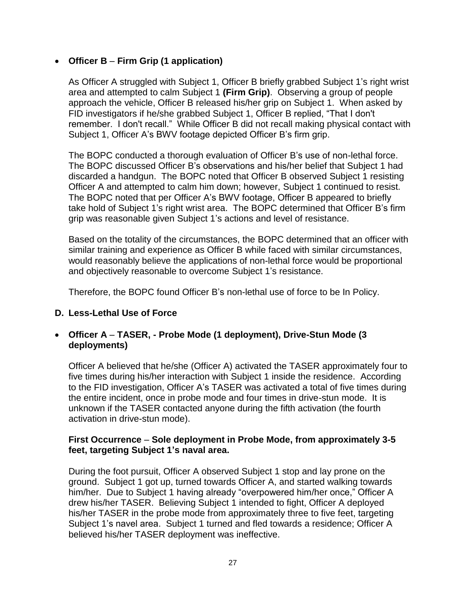### • **Officer B** – **Firm Grip (1 application)**

As Officer A struggled with Subject 1, Officer B briefly grabbed Subject 1's right wrist area and attempted to calm Subject 1 **(Firm Grip)**. Observing a group of people approach the vehicle, Officer B released his/her grip on Subject 1. When asked by FID investigators if he/she grabbed Subject 1, Officer B replied, "That I don't remember. I don't recall." While Officer B did not recall making physical contact with Subject 1, Officer A's BWV footage depicted Officer B's firm grip.

The BOPC conducted a thorough evaluation of Officer B's use of non-lethal force. The BOPC discussed Officer B's observations and his/her belief that Subject 1 had discarded a handgun. The BOPC noted that Officer B observed Subject 1 resisting Officer A and attempted to calm him down; however, Subject 1 continued to resist. The BOPC noted that per Officer A's BWV footage, Officer B appeared to briefly take hold of Subject 1's right wrist area. The BOPC determined that Officer B's firm grip was reasonable given Subject 1's actions and level of resistance.

Based on the totality of the circumstances, the BOPC determined that an officer with similar training and experience as Officer B while faced with similar circumstances, would reasonably believe the applications of non-lethal force would be proportional and objectively reasonable to overcome Subject 1's resistance.

Therefore, the BOPC found Officer B's non-lethal use of force to be In Policy.

### **D. Less-Lethal Use of Force**

#### • **Officer A** – **TASER, - Probe Mode (1 deployment), Drive-Stun Mode (3 deployments)**

Officer A believed that he/she (Officer A) activated the TASER approximately four to five times during his/her interaction with Subject 1 inside the residence. According to the FID investigation, Officer A's TASER was activated a total of five times during the entire incident, once in probe mode and four times in drive-stun mode. It is unknown if the TASER contacted anyone during the fifth activation (the fourth activation in drive-stun mode).

#### **First Occurrence** – **Sole deployment in Probe Mode, from approximately 3-5 feet, targeting Subject 1's naval area.**

During the foot pursuit, Officer A observed Subject 1 stop and lay prone on the ground. Subject 1 got up, turned towards Officer A, and started walking towards him/her. Due to Subject 1 having already "overpowered him/her once," Officer A drew his/her TASER. Believing Subject 1 intended to fight, Officer A deployed his/her TASER in the probe mode from approximately three to five feet, targeting Subject 1's navel area. Subject 1 turned and fled towards a residence; Officer A believed his/her TASER deployment was ineffective.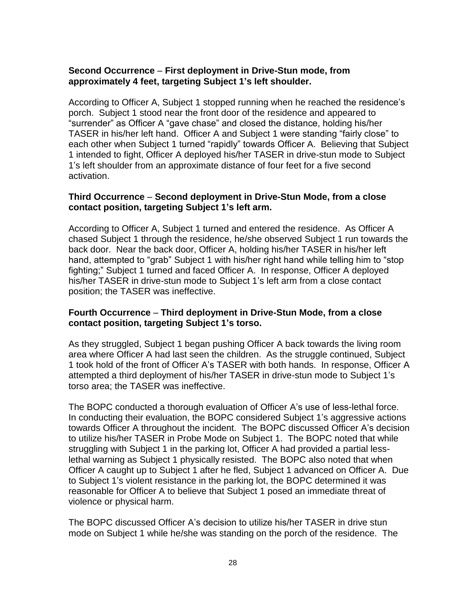#### **Second Occurrence** – **First deployment in Drive-Stun mode, from approximately 4 feet, targeting Subject 1's left shoulder.**

According to Officer A, Subject 1 stopped running when he reached the residence's porch. Subject 1 stood near the front door of the residence and appeared to "surrender" as Officer A "gave chase" and closed the distance, holding his/her TASER in his/her left hand. Officer A and Subject 1 were standing "fairly close" to each other when Subject 1 turned "rapidly" towards Officer A. Believing that Subject 1 intended to fight, Officer A deployed his/her TASER in drive-stun mode to Subject 1's left shoulder from an approximate distance of four feet for a five second activation.

#### **Third Occurrence** – **Second deployment in Drive-Stun Mode, from a close contact position, targeting Subject 1's left arm.**

According to Officer A, Subject 1 turned and entered the residence. As Officer A chased Subject 1 through the residence, he/she observed Subject 1 run towards the back door. Near the back door, Officer A, holding his/her TASER in his/her left hand, attempted to "grab" Subject 1 with his/her right hand while telling him to "stop fighting;" Subject 1 turned and faced Officer A. In response, Officer A deployed his/her TASER in drive-stun mode to Subject 1's left arm from a close contact position; the TASER was ineffective.

#### **Fourth Occurrence** – **Third deployment in Drive-Stun Mode, from a close contact position, targeting Subject 1's torso.**

As they struggled, Subject 1 began pushing Officer A back towards the living room area where Officer A had last seen the children. As the struggle continued, Subject 1 took hold of the front of Officer A's TASER with both hands. In response, Officer A attempted a third deployment of his/her TASER in drive-stun mode to Subject 1's torso area; the TASER was ineffective.

The BOPC conducted a thorough evaluation of Officer A's use of less-lethal force. In conducting their evaluation, the BOPC considered Subject 1's aggressive actions towards Officer A throughout the incident. The BOPC discussed Officer A's decision to utilize his/her TASER in Probe Mode on Subject 1. The BOPC noted that while struggling with Subject 1 in the parking lot, Officer A had provided a partial lesslethal warning as Subject 1 physically resisted. The BOPC also noted that when Officer A caught up to Subject 1 after he fled, Subject 1 advanced on Officer A. Due to Subject 1's violent resistance in the parking lot, the BOPC determined it was reasonable for Officer A to believe that Subject 1 posed an immediate threat of violence or physical harm.

The BOPC discussed Officer A's decision to utilize his/her TASER in drive stun mode on Subject 1 while he/she was standing on the porch of the residence. The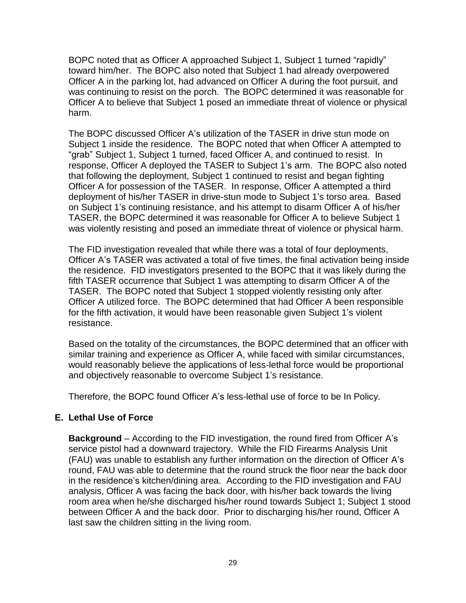BOPC noted that as Officer A approached Subject 1, Subject 1 turned "rapidly" toward him/her. The BOPC also noted that Subject 1 had already overpowered Officer A in the parking lot, had advanced on Officer A during the foot pursuit, and was continuing to resist on the porch. The BOPC determined it was reasonable for Officer A to believe that Subject 1 posed an immediate threat of violence or physical harm.

The BOPC discussed Officer A's utilization of the TASER in drive stun mode on Subject 1 inside the residence. The BOPC noted that when Officer A attempted to "grab" Subject 1, Subject 1 turned, faced Officer A, and continued to resist. In response, Officer A deployed the TASER to Subject 1's arm. The BOPC also noted that following the deployment, Subject 1 continued to resist and began fighting Officer A for possession of the TASER. In response, Officer A attempted a third deployment of his/her TASER in drive-stun mode to Subject 1's torso area. Based on Subject 1's continuing resistance, and his attempt to disarm Officer A of his/her TASER, the BOPC determined it was reasonable for Officer A to believe Subject 1 was violently resisting and posed an immediate threat of violence or physical harm.

The FID investigation revealed that while there was a total of four deployments, Officer A's TASER was activated a total of five times, the final activation being inside the residence. FID investigators presented to the BOPC that it was likely during the fifth TASER occurrence that Subject 1 was attempting to disarm Officer A of the TASER. The BOPC noted that Subject 1 stopped violently resisting only after Officer A utilized force. The BOPC determined that had Officer A been responsible for the fifth activation, it would have been reasonable given Subject 1's violent resistance.

Based on the totality of the circumstances, the BOPC determined that an officer with similar training and experience as Officer A, while faced with similar circumstances, would reasonably believe the applications of less-lethal force would be proportional and objectively reasonable to overcome Subject 1's resistance.

Therefore, the BOPC found Officer A's less-lethal use of force to be In Policy.

### **E. Lethal Use of Force**

**Background** – According to the FID investigation, the round fired from Officer A's service pistol had a downward trajectory. While the FID Firearms Analysis Unit (FAU) was unable to establish any further information on the direction of Officer A's round, FAU was able to determine that the round struck the floor near the back door in the residence's kitchen/dining area. According to the FID investigation and FAU analysis, Officer A was facing the back door, with his/her back towards the living room area when he/she discharged his/her round towards Subject 1; Subject 1 stood between Officer A and the back door. Prior to discharging his/her round, Officer A last saw the children sitting in the living room.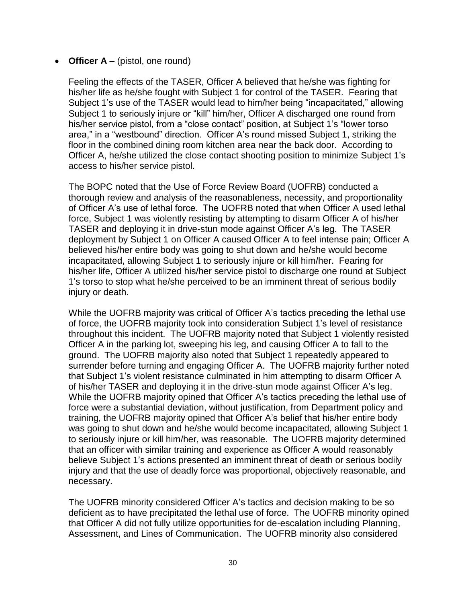#### • **Officer A** – (pistol, one round)

Feeling the effects of the TASER, Officer A believed that he/she was fighting for his/her life as he/she fought with Subject 1 for control of the TASER. Fearing that Subject 1's use of the TASER would lead to him/her being "incapacitated," allowing Subject 1 to seriously injure or "kill" him/her, Officer A discharged one round from his/her service pistol, from a "close contact" position, at Subject 1's "lower torso area," in a "westbound" direction. Officer A's round missed Subject 1, striking the floor in the combined dining room kitchen area near the back door. According to Officer A, he/she utilized the close contact shooting position to minimize Subject 1's access to his/her service pistol.

The BOPC noted that the Use of Force Review Board (UOFRB) conducted a thorough review and analysis of the reasonableness, necessity, and proportionality of Officer A's use of lethal force. The UOFRB noted that when Officer A used lethal force, Subject 1 was violently resisting by attempting to disarm Officer A of his/her TASER and deploying it in drive-stun mode against Officer A's leg. The TASER deployment by Subject 1 on Officer A caused Officer A to feel intense pain; Officer A believed his/her entire body was going to shut down and he/she would become incapacitated, allowing Subject 1 to seriously injure or kill him/her. Fearing for his/her life, Officer A utilized his/her service pistol to discharge one round at Subject 1's torso to stop what he/she perceived to be an imminent threat of serious bodily injury or death.

While the UOFRB majority was critical of Officer A's tactics preceding the lethal use of force, the UOFRB majority took into consideration Subject 1's level of resistance throughout this incident. The UOFRB majority noted that Subject 1 violently resisted Officer A in the parking lot, sweeping his leg, and causing Officer A to fall to the ground. The UOFRB majority also noted that Subject 1 repeatedly appeared to surrender before turning and engaging Officer A. The UOFRB majority further noted that Subject 1's violent resistance culminated in him attempting to disarm Officer A of his/her TASER and deploying it in the drive-stun mode against Officer A's leg. While the UOFRB majority opined that Officer A's tactics preceding the lethal use of force were a substantial deviation, without justification, from Department policy and training, the UOFRB majority opined that Officer A's belief that his/her entire body was going to shut down and he/she would become incapacitated, allowing Subject 1 to seriously injure or kill him/her, was reasonable. The UOFRB majority determined that an officer with similar training and experience as Officer A would reasonably believe Subject 1's actions presented an imminent threat of death or serious bodily injury and that the use of deadly force was proportional, objectively reasonable, and necessary.

The UOFRB minority considered Officer A's tactics and decision making to be so deficient as to have precipitated the lethal use of force. The UOFRB minority opined that Officer A did not fully utilize opportunities for de-escalation including Planning, Assessment, and Lines of Communication. The UOFRB minority also considered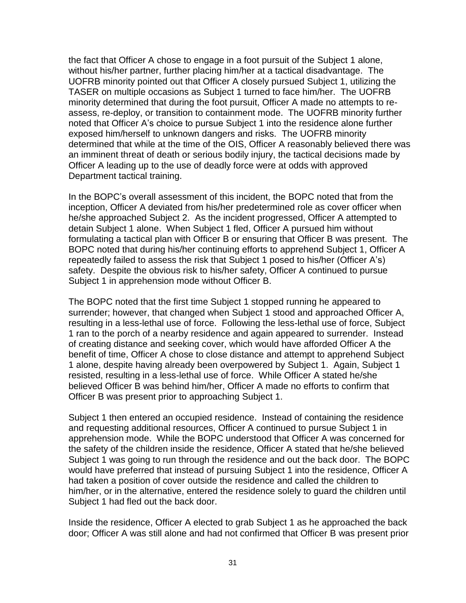the fact that Officer A chose to engage in a foot pursuit of the Subject 1 alone, without his/her partner, further placing him/her at a tactical disadvantage. The UOFRB minority pointed out that Officer A closely pursued Subject 1, utilizing the TASER on multiple occasions as Subject 1 turned to face him/her. The UOFRB minority determined that during the foot pursuit, Officer A made no attempts to reassess, re-deploy, or transition to containment mode. The UOFRB minority further noted that Officer A's choice to pursue Subject 1 into the residence alone further exposed him/herself to unknown dangers and risks. The UOFRB minority determined that while at the time of the OIS, Officer A reasonably believed there was an imminent threat of death or serious bodily injury, the tactical decisions made by Officer A leading up to the use of deadly force were at odds with approved Department tactical training.

In the BOPC's overall assessment of this incident, the BOPC noted that from the inception, Officer A deviated from his/her predetermined role as cover officer when he/she approached Subject 2. As the incident progressed, Officer A attempted to detain Subject 1 alone. When Subject 1 fled, Officer A pursued him without formulating a tactical plan with Officer B or ensuring that Officer B was present. The BOPC noted that during his/her continuing efforts to apprehend Subject 1, Officer A repeatedly failed to assess the risk that Subject 1 posed to his/her (Officer A's) safety. Despite the obvious risk to his/her safety, Officer A continued to pursue Subject 1 in apprehension mode without Officer B.

The BOPC noted that the first time Subject 1 stopped running he appeared to surrender; however, that changed when Subject 1 stood and approached Officer A, resulting in a less-lethal use of force. Following the less-lethal use of force, Subject 1 ran to the porch of a nearby residence and again appeared to surrender. Instead of creating distance and seeking cover, which would have afforded Officer A the benefit of time, Officer A chose to close distance and attempt to apprehend Subject 1 alone, despite having already been overpowered by Subject 1. Again, Subject 1 resisted, resulting in a less-lethal use of force. While Officer A stated he/she believed Officer B was behind him/her, Officer A made no efforts to confirm that Officer B was present prior to approaching Subject 1.

Subject 1 then entered an occupied residence. Instead of containing the residence and requesting additional resources, Officer A continued to pursue Subject 1 in apprehension mode. While the BOPC understood that Officer A was concerned for the safety of the children inside the residence, Officer A stated that he/she believed Subject 1 was going to run through the residence and out the back door. The BOPC would have preferred that instead of pursuing Subject 1 into the residence, Officer A had taken a position of cover outside the residence and called the children to him/her, or in the alternative, entered the residence solely to guard the children until Subject 1 had fled out the back door.

Inside the residence, Officer A elected to grab Subject 1 as he approached the back door; Officer A was still alone and had not confirmed that Officer B was present prior